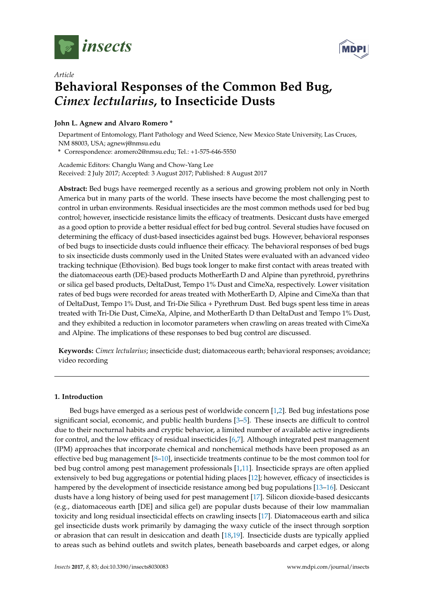

*Article*



# **Behavioral Responses of the Common Bed Bug,** *Cimex lectularius***, to Insecticide Dusts**

# **John L. Agnew and Alvaro Romero \***

Department of Entomology, Plant Pathology and Weed Science, New Mexico State University, Las Cruces, NM 88003, USA; agnewj@nmsu.edu

**\*** Correspondence: aromero2@nmsu.edu; Tel.: +1-575-646-5550

Academic Editors: Changlu Wang and Chow-Yang Lee Received: 2 July 2017; Accepted: 3 August 2017; Published: 8 August 2017

**Abstract:** Bed bugs have reemerged recently as a serious and growing problem not only in North America but in many parts of the world. These insects have become the most challenging pest to control in urban environments. Residual insecticides are the most common methods used for bed bug control; however, insecticide resistance limits the efficacy of treatments. Desiccant dusts have emerged as a good option to provide a better residual effect for bed bug control. Several studies have focused on determining the efficacy of dust-based insecticides against bed bugs. However, behavioral responses of bed bugs to insecticide dusts could influence their efficacy. The behavioral responses of bed bugs to six insecticide dusts commonly used in the United States were evaluated with an advanced video tracking technique (Ethovision). Bed bugs took longer to make first contact with areas treated with the diatomaceous earth (DE)-based products MotherEarth D and Alpine than pyrethroid, pyrethrins or silica gel based products, DeltaDust, Tempo 1% Dust and CimeXa, respectively. Lower visitation rates of bed bugs were recorded for areas treated with MotherEarth D, Alpine and CimeXa than that of DeltaDust, Tempo 1% Dust, and Tri-Die Silica + Pyrethrum Dust. Bed bugs spent less time in areas treated with Tri-Die Dust, CimeXa, Alpine, and MotherEarth D than DeltaDust and Tempo 1% Dust, and they exhibited a reduction in locomotor parameters when crawling on areas treated with CimeXa and Alpine. The implications of these responses to bed bug control are discussed.

**Keywords:** *Cimex lectularius*; insecticide dust; diatomaceous earth; behavioral responses; avoidance; video recording

## **1. Introduction**

Bed bugs have emerged as a serious pest of worldwide concern [\[1](#page-8-0)[,2\]](#page-8-1). Bed bug infestations pose significant social, economic, and public health burdens [\[3–](#page-8-2)[5\]](#page-8-3). These insects are difficult to control due to their nocturnal habits and cryptic behavior, a limited number of available active ingredients for control, and the low efficacy of residual insecticides [\[6](#page-8-4)[,7\]](#page-8-5). Although integrated pest management (IPM) approaches that incorporate chemical and nonchemical methods have been proposed as an effective bed bug management [\[8](#page-8-6)[–10\]](#page-8-7), insecticide treatments continue to be the most common tool for bed bug control among pest management professionals [\[1,](#page-8-0)[11\]](#page-8-8). Insecticide sprays are often applied extensively to bed bug aggregations or potential hiding places [\[12\]](#page-8-9); however, efficacy of insecticides is hampered by the development of insecticide resistance among bed bug populations [\[13](#page-8-10)[–16\]](#page-8-11). Desiccant dusts have a long history of being used for pest management [\[17\]](#page-8-12). Silicon dioxide-based desiccants (e.g., diatomaceous earth [DE] and silica gel) are popular dusts because of their low mammalian toxicity and long residual insecticidal effects on crawling insects [\[17\]](#page-8-12). Diatomaceous earth and silica gel insecticide dusts work primarily by damaging the waxy cuticle of the insect through sorption or abrasion that can result in desiccation and death [\[18,](#page-8-13)[19\]](#page-8-14). Insecticide dusts are typically applied to areas such as behind outlets and switch plates, beneath baseboards and carpet edges, or along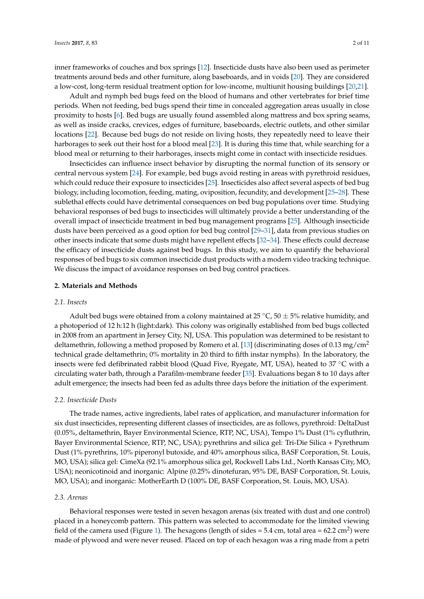inner frameworks of couches and box springs [\[12\]](#page-8-9). Insecticide dusts have also been used as perimeter treatments around beds and other furniture, along baseboards, and in voids [\[20\]](#page-9-0). They are considered a low-cost, long-term residual treatment option for low-income, multiunit housing buildings [\[20](#page-9-0)[,21\]](#page-9-1).

Adult and nymph bed bugs feed on the blood of humans and other vertebrates for brief time periods. When not feeding, bed bugs spend their time in concealed aggregation areas usually in close proximity to hosts [\[6\]](#page-8-4). Bed bugs are usually found assembled along mattress and box spring seams, as well as inside cracks, crevices, edges of furniture, baseboards, electric outlets, and other similar locations [\[22\]](#page-9-2). Because bed bugs do not reside on living hosts, they repeatedly need to leave their harborages to seek out their host for a blood meal [\[23\]](#page-9-3). It is during this time that, while searching for a blood meal or returning to their harborages, insects might come in contact with insecticide residues.

Insecticides can influence insect behavior by disrupting the normal function of its sensory or central nervous system [\[24\]](#page-9-4). For example, bed bugs avoid resting in areas with pyrethroid residues, which could reduce their exposure to insecticides [\[25\]](#page-9-5). Insecticides also affect several aspects of bed bug biology, including locomotion, feeding, mating, oviposition, fecundity, and development [\[25](#page-9-5)[–28\]](#page-9-6). These sublethal effects could have detrimental consequences on bed bug populations over time. Studying behavioral responses of bed bugs to insecticides will ultimately provide a better understanding of the overall impact of insecticide treatment in bed bug management programs [\[25\]](#page-9-5). Although insecticide dusts have been perceived as a good option for bed bug control [\[29](#page-9-7)[–31\]](#page-9-8), data from previous studies on other insects indicate that some dusts might have repellent effects [\[32](#page-9-9)[–34\]](#page-9-10). These effects could decrease the efficacy of insecticide dusts against bed bugs. In this study, we aim to quantify the behavioral responses of bed bugs to six common insecticide dust products with a modern video tracking technique. We discuss the impact of avoidance responses on bed bug control practices.

### **2. Materials and Methods**

### *2.1. Insects*

Adult bed bugs were obtained from a colony maintained at  $25 \degree C$ ,  $50 \pm 5\%$  relative humidity, and a photoperiod of 12 h:12 h (light:dark). This colony was originally established from bed bugs collected in 2008 from an apartment in Jersey City, NJ, USA. This population was determined to be resistant to deltamethrin, following a method proposed by Romero et al. [\[13\]](#page-8-10) (discriminating doses of 0.13 mg/cm<sup>2</sup> technical grade deltamethrin; 0% mortality in 20 third to fifth instar nymphs). In the laboratory, the insects were fed defibrinated rabbit blood (Quad Five, Ryegate, MT, USA), heated to 37 ◦C with a circulating water bath, through a Parafilm-membrane feeder [\[35\]](#page-9-11). Evaluations began 8 to 10 days after adult emergence; the insects had been fed as adults three days before the initiation of the experiment.

### *2.2. Insecticide Dusts*

The trade names, active ingredients, label rates of application, and manufacturer information for six dust insecticides, representing different classes of insecticides, are as follows, pyrethroid: DeltaDust (0.05%, deltamethrin, Bayer Environmental Science, RTP, NC, USA), Tempo 1% Dust (1% cyfluthrin, Bayer Environmental Science, RTP, NC, USA); pyrethrins and silica gel: Tri-Die Silica + Pyrethrum Dust (1% pyrethrins, 10% piperonyl butoxide, and 40% amorphous silica, BASF Corporation, St. Louis, MO, USA); silica gel: CimeXa (92.1% amorphous silica gel, Rockwell Labs Ltd., North Kansas City, MO, USA); neonicotinoid and inorganic: Alpine (0.25% dinotefuran, 95% DE, BASF Corporation, St. Louis, MO, USA); and inorganic: MotherEarth D (100% DE, BASF Corporation, St. Louis, MO, USA).

### *2.3. Arenas*

Behavioral responses were tested in seven hexagon arenas (six treated with dust and one control) placed in a honeycomb pattern. This pattern was selected to accommodate for the limited viewing field of the camera used (Figure [1\)](#page-2-0). The hexagons (length of sides = 5.4 cm, total area = 62.2 cm<sup>2</sup>) were made of plywood and were never reused. Placed on top of each hexagon was a ring made from a petri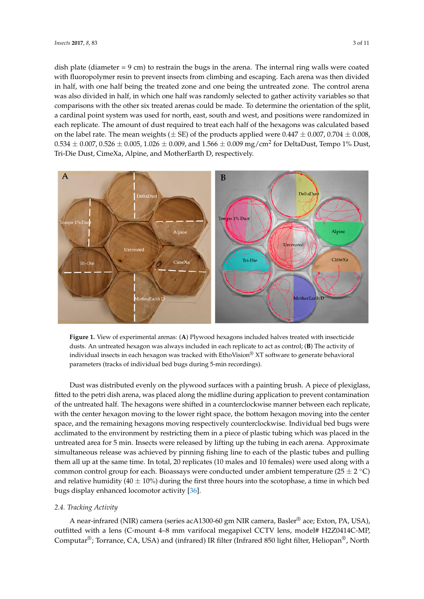dish plate (diameter = 9 cm) to restrain the bugs in the arena. The internal ring walls were coated with fluoropolymer resin to prevent insects from climbing and escaping. Each arena was then divided with fluoropolymer resin to prevent insects from climbing and escaping. Each arena was then divided in half, with one half being the treated zone and one being the untreated zone. The control arena in half, with one half being the treated zone and one being the untreated zone. The control arena was was also divided in half, in which one half was randomly selected to gather activity variables so that also divided in half, in which one half was randomly selected to gather activity variables so that comparisons with the other six treated arenas could be made. To determine the orientation of the split, comparisons with the other six treated arenas could be made. To determine the orientation of the a cardinal point system was used for north, east, south and west, and positions were randomized in each replicate. The amount of dust required to treat each half of the hexagons was calculated based on the label rate. The mean weights ( $\pm$  SE) of the products applied were 0.447  $\pm$  0.007, 0.704  $\pm$  0.008,  $0.534 \pm 0.007$ ,  $0.526 \pm 0.005$ ,  $1.026 \pm 0.009$ , and  $1.566 \pm 0.009$  mg/cm<sup>2</sup> for DeltaDust, Tempo 1% Dust, Tri-Die Dust, CimeXa, Alpine, and MotherEarth D, respectively. 1% Dust, Tri-Die Dust, CimeXa, Alpine, and MotherEarth D, respectively.

<span id="page-2-0"></span>

**Figure 1.** View of experimental arenas: (**A**) Plywood hexagons included halves treated with **Figure 1.** View of experimental arenas: (**A**) Plywood hexagons included halves treated with insecticide insecticide dusts. An untreated hexagon was always included in each replicate to act as control; (**B**) dusts. An untreated hexagon was always included in each replicate to act as control; (**B**) The activity of individual insects in each hexagon was tracked with EthoVision® XT software to generate behavioral parameters (tracks of individual bed bugs during 5-min recordings).

Dust was distributed evenly on the plywood surfaces with a painting brush. A piece of Dust was distributed evenly on the plywood surfaces with a painting brush. A piece of plexiglass, place was distributed every on the prywood surfaces which planting prasm. To prece or prexistion, the petri dish arena, was placed along the midline during application to prevent contamination of the untreated half. The hexagons were shifted in a counterclockwise manner between each replicate, of the unificated han. The hexagons were similed in a counterclockwise manner between each replicate, with the center hexagon moving to the lower right space, the bottom hexagon moving into the center with the center riexagon moving to the fower right space, the soliton hexagon moving mito the center<br>space, and the remaining hexagons moving respectively counterclockwise. Individual bed bugs were Individual bed bugs were acclimated to the environment by restricting them in a piece of plastic acclimated to the environment by restricting them in a piece of plastic tubing which was placed in the tubing which was placed in the untreated area for 5 min. Insects were released by lifting up the tubing untreated area for 5 min. Insects were released by lifting up the tubing in each arena. Approximate in each arena. Approximate simultaneous release was achieved by pinning fishing line to each of the simultaneous release was achieved by pinning fishing line to each of the plastic tubes and pulling  $t$  them all up at the same time. In total, 20 replicates (10 males and 10 females) were used along with a  $m$  and  $m$  and  $m$  and  $m$ . In total, 20 represents (10 mates and 10 remarks) were used along what a common control group for each. Bioassays were conducted under ambient temperature (25  $\pm$  2  $^{\circ}$ C) temperature (25 ± 2 **°**C) and relative humidity (40 ± 10%) during the first three hours into the and relative humidity ( $40 \pm 10\%$ ) during the first three hours into the scotophase, a time in which bed bugs display enhanced locomotor activity [\[36\]](#page-9-12).

# *2.4. Tracking Activity 2.4. Tracking Activity*

A near-infrared (NIR) camera (series acA1300-60 gm NIR camera, Basler<sup>®</sup> ace; Exton, PA, USA), outfitted with a lens (C-mount 4–8 mm varifocal megapixel CCTV lens, model# H2Z0414C-MP, outfitted with a lens (C-mount 4–8 mm varifocal megapixel CCTV lens, model# H2Z0414C-MP, Computar®; Torrance, CA, USA) and (infrared) IR filter (Infrared 850 light filter, Heliopan®, North Computar®; Torrance, CA, USA) and (infrared) IR filter (Infrared 850 light filter, Heliopan®, North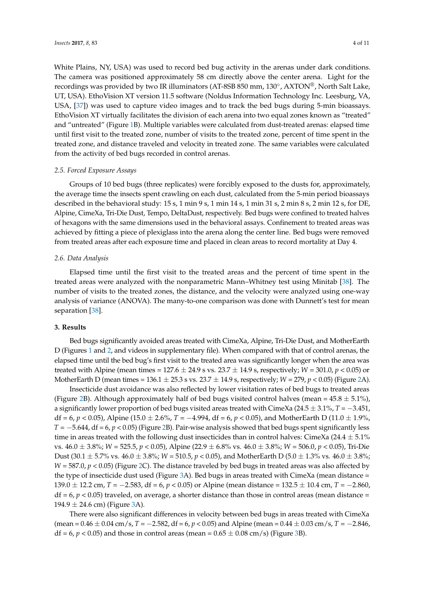White Plains, NY, USA) was used to record bed bug activity in the arenas under dark conditions. The camera was positioned approximately 58 cm directly above the center arena. Light for the recordings was provided by two IR illuminators (AT-8SB 850 mm, 130°, AXTON®, North Salt Lake, UT, USA). EthoVision XT version 11.5 software (Noldus Information Technology Inc. Leesburg, VA, USA, [\[37\]](#page-9-13)) was used to capture video images and to track the bed bugs during 5-min bioassays. EthoVision XT virtually facilitates the division of each arena into two equal zones known as "treated" and "untreated" (Figure [1B](#page-2-0)). Multiple variables were calculated from dust-treated arenas: elapsed time until first visit to the treated zone, number of visits to the treated zone, percent of time spent in the treated zone, and distance traveled and velocity in treated zone. The same variables were calculated from the activity of bed bugs recorded in control arenas.

### *2.5. Forced Exposure Assays*

Groups of 10 bed bugs (three replicates) were forcibly exposed to the dusts for, approximately, the average time the insects spent crawling on each dust, calculated from the 5-min period bioassays described in the behavioral study: 15 s, 1 min 9 s, 1 min 14 s, 1 min 31 s, 2 min 8 s, 2 min 12 s, for DE, Alpine, CimeXa, Tri-Die Dust, Tempo, DeltaDust, respectively. Bed bugs were confined to treated halves of hexagons with the same dimensions used in the behavioral assays. Confinement to treated areas was achieved by fitting a piece of plexiglass into the arena along the center line. Bed bugs were removed from treated areas after each exposure time and placed in clean areas to record mortality at Day 4.

### *2.6. Data Analysis*

Elapsed time until the first visit to the treated areas and the percent of time spent in the treated areas were analyzed with the nonparametric Mann–Whitney test using Minitab [\[38\]](#page-9-14). The number of visits to the treated zones, the distance, and the velocity were analyzed using one-way analysis of variance (ANOVA). The many-to-one comparison was done with Dunnett's test for mean separation [\[38\]](#page-9-14).

### **3. Results**

Bed bugs significantly avoided areas treated with CimeXa, Alpine, Tri-Die Dust, and MotherEarth D (Figures [1](#page-2-0) and [2,](#page-4-0) and videos in supplementary file). When compared with that of control arenas, the elapsed time until the bed bug's first visit to the treated area was significantly longer when the area was treated with Alpine (mean times =  $127.6 \pm 24.9$  s vs.  $23.7 \pm 14.9$  s, respectively;  $W = 301.0$ ,  $p < 0.05$ ) or MotherEarth D (mean times =  $136.1 \pm 25.3$  s vs.  $23.7 \pm 14.9$  s, respectively;  $W = 279$ ,  $p < 0.05$ ) (Figure [2A](#page-4-0)).

Insecticide dust avoidance was also reflected by lower visitation rates of bed bugs to treated areas (Figure [2B](#page-4-0)). Although approximately half of bed bugs visited control halves (mean =  $45.8 \pm 5.1\%$ ), a significantly lower proportion of bed bugs visited areas treated with CimeXa (24.5 ± 3.1%, *T* = −3.451, df = 6, *p* < 0.05), Alpine (15.0 ± 2.6%, *T* = −4.994, df = 6, *p* < 0.05), and MotherEarth D (11.0 ± 1.9%, *T* = −5.644, df = 6, *p* < 0.05) (Figure [2B](#page-4-0)). Pair-wise analysis showed that bed bugs spent significantly less time in areas treated with the following dust insecticides than in control halves: CimeXa (24.4  $\pm$  5.1%) vs. 46.0 ± 3.8%; *W* = 525.5, *p* < 0.05), Alpine (22.9 ± 6.8% vs. 46.0 ± 3.8%; *W* = 506.0, *p* < 0.05), Tri-Die Dust (30.1  $\pm$  5.7% vs. 46.0  $\pm$  3.8%; *W* = 510.5, *p* < 0.05), and MotherEarth D (5.0  $\pm$  1.3% vs. 46.0  $\pm$  3.8%; *W* = 587.0, *p* < 0.05) (Figure [2C](#page-4-0)). The distance traveled by bed bugs in treated areas was also affected by the type of insecticide dust used (Figure [3A](#page-4-1)). Bed bugs in areas treated with CimeXa (mean distance = 139.0 ± 12.2 cm, *T* = −2.583, df = 6, *p* < 0.05) or Alpine (mean distance = 132.5 ± 10.4 cm, *T* = −2.860,  $df = 6$ ,  $p < 0.05$ ) traveled, on average, a shorter distance than those in control areas (mean distance =  $194.9 \pm 24.6$  cm) (Figure [3A](#page-4-1)).

There were also significant differences in velocity between bed bugs in areas treated with CimeXa (mean = 0.46 ± 0.04 cm/s, *T* = −2.582, df = 6, *p* < 0.05) and Alpine (mean = 0.44 ± 0.03 cm/s, *T* = −2.846, df = 6,  $p$  < 0.05) and those in control areas (mean =  $0.65 \pm 0.08$  cm/s) (Figure [3B](#page-4-1)).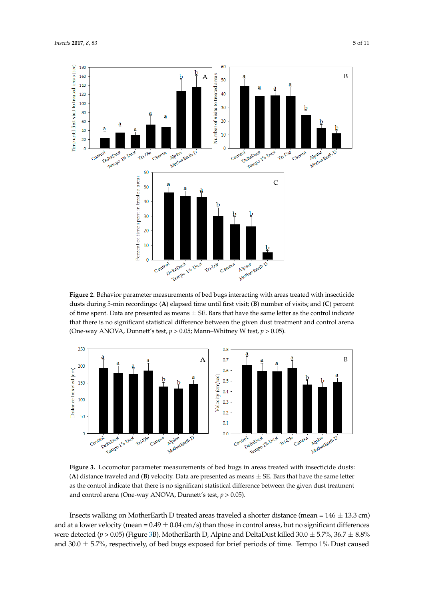<span id="page-4-0"></span>

Figure 2. Behavior parameter measurements of bed bugs interacting with areas treated with insecticide dusts during 5-min recordings: (A) elapsed time until first visit; (B) number of visits; and (C) percent of time spent. Data are presented as means  $\pm$  SE. Bars that have the same letter as the control indicate that there is no significant statistical difference between the given dust treatment and control arena (One-way ANOVA, Dunnett's test,  $p > 0.05$ ; Mann-Whitney W test,  $p > 0.05$ ).

<span id="page-4-1"></span>

Figure 3. Locomotor parameter measurements of bed bugs in areas treated with insecticide dusts: (A) distance traveled and (B) velocity. Data are presented as means  $\pm$  SE. Bars that have the same letter as the control indicate that there is no significant statistical difference between the given dust treatment Insects walking on  $M$  treated areas traveled as traveled as  $\mathcal{N}$  13.33.33  $\pm$  13.33.34.34.35  $\pm$  13.34.35  $\pm$ and control arena (One-way ANOVA, Dunnett's test, *p* > 0.05). and control arena (One-way ANOVA, Dunnett's test, *p* > 0.05).

 $\mathbf{r}$  and at a lower velocity (mean  $\mathbf{r}$  or significant than the control areas, but no significant than the control areas, but no significant than the control areas, but no significant than the control areas, but n Insects walking on MotherEarth D treated areas traveled a shorter distance (mean =  $146 \pm 13.3$  cm) and at a lower velocity (mean =  $0.49 \pm 0.04$  cm/s) than those in control areas, but no significant differences we[re](#page-4-1) detected ( $p$  > 0.05) (Figure 3B). MotherEarth D, Alpine and DeltaDust killed 30.0  $\pm$  5.7%, 36.7  $\pm$  8.8% and 30.0  $\pm$  5.7%, respectively, of bed bugs exposed for brief periods of time. Tempo 1% Dust caused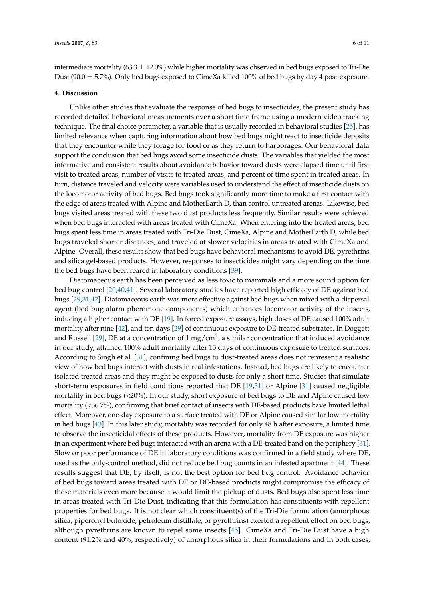intermediate mortality (63.3  $\pm$  12.0%) while higher mortality was observed in bed bugs exposed to Tri-Die Dust (90.0 ± 5.7%). Only bed bugs exposed to CimeXa killed 100% of bed bugs by day 4 post-exposure.

### **4. Discussion**

Unlike other studies that evaluate the response of bed bugs to insecticides, the present study has recorded detailed behavioral measurements over a short time frame using a modern video tracking technique. The final choice parameter, a variable that is usually recorded in behavioral studies [\[25\]](#page-9-5), has limited relevance when capturing information about how bed bugs might react to insecticide deposits that they encounter while they forage for food or as they return to harborages. Our behavioral data support the conclusion that bed bugs avoid some insecticide dusts. The variables that yielded the most informative and consistent results about avoidance behavior toward dusts were elapsed time until first visit to treated areas, number of visits to treated areas, and percent of time spent in treated areas. In turn, distance traveled and velocity were variables used to understand the effect of insecticide dusts on the locomotor activity of bed bugs. Bed bugs took significantly more time to make a first contact with the edge of areas treated with Alpine and MotherEarth D, than control untreated arenas. Likewise, bed bugs visited areas treated with these two dust products less frequently. Similar results were achieved when bed bugs interacted with areas treated with CimeXa. When entering into the treated areas, bed bugs spent less time in areas treated with Tri-Die Dust, CimeXa, Alpine and MotherEarth D, while bed bugs traveled shorter distances, and traveled at slower velocities in areas treated with CimeXa and Alpine. Overall, these results show that bed bugs have behavioral mechanisms to avoid DE, pyrethrins and silica gel-based products. However, responses to insecticides might vary depending on the time the bed bugs have been reared in laboratory conditions [\[39\]](#page-9-15).

Diatomaceous earth has been perceived as less toxic to mammals and a more sound option for bed bug control [\[20](#page-9-0)[,40,](#page-9-16)[41\]](#page-9-17). Several laboratory studies have reported high efficacy of DE against bed bugs [\[29](#page-9-7)[,31](#page-9-8)[,42\]](#page-9-18). Diatomaceous earth was more effective against bed bugs when mixed with a dispersal agent (bed bug alarm pheromone components) which enhances locomotor activity of the insects, inducing a higher contact with DE [\[19\]](#page-8-14). In forced exposure assays, high doses of DE caused 100% adult mortality after nine [\[42\]](#page-9-18), and ten days [\[29\]](#page-9-7) of continuous exposure to DE-treated substrates. In Doggett and Russell [\[29\]](#page-9-7), DE at a concentration of 1 mg/cm<sup>2</sup>, a similar concentration that induced avoidance in our study, attained 100% adult mortality after 15 days of continuous exposure to treated surfaces. According to Singh et al. [\[31\]](#page-9-8), confining bed bugs to dust-treated areas does not represent a realistic view of how bed bugs interact with dusts in real infestations. Instead, bed bugs are likely to encounter isolated treated areas and they might be exposed to dusts for only a short time. Studies that simulate short-term exposures in field conditions reported that DE [\[19,](#page-8-14)[31\]](#page-9-8) or Alpine [\[31\]](#page-9-8) caused negligible mortality in bed bugs (<20%). In our study, short exposure of bed bugs to DE and Alpine caused low mortality (<36.7%), confirming that brief contact of insects with DE-based products have limited lethal effect. Moreover, one-day exposure to a surface treated with DE or Alpine caused similar low mortality in bed bugs [\[43\]](#page-10-0). In this later study, mortality was recorded for only 48 h after exposure, a limited time to observe the insecticidal effects of these products. However, mortality from DE exposure was higher in an experiment where bed bugs interacted with an arena with a DE-treated band on the periphery [\[31\]](#page-9-8). Slow or poor performance of DE in laboratory conditions was confirmed in a field study where DE, used as the only-control method, did not reduce bed bug counts in an infested apartment [\[44\]](#page-10-1). These results suggest that DE, by itself, is not the best option for bed bug control. Avoidance behavior of bed bugs toward areas treated with DE or DE-based products might compromise the efficacy of these materials even more because it would limit the pickup of dusts. Bed bugs also spent less time in areas treated with Tri-Die Dust, indicating that this formulation has constituents with repellent properties for bed bugs. It is not clear which constituent(s) of the Tri-Die formulation (amorphous silica, piperonyl butoxide, petroleum distillate, or pyrethrins) exerted a repellent effect on bed bugs, although pyrethrins are known to repel some insects [\[45\]](#page-10-2). CimeXa and Tri-Die Dust have a high content (91.2% and 40%, respectively) of amorphous silica in their formulations and in both cases,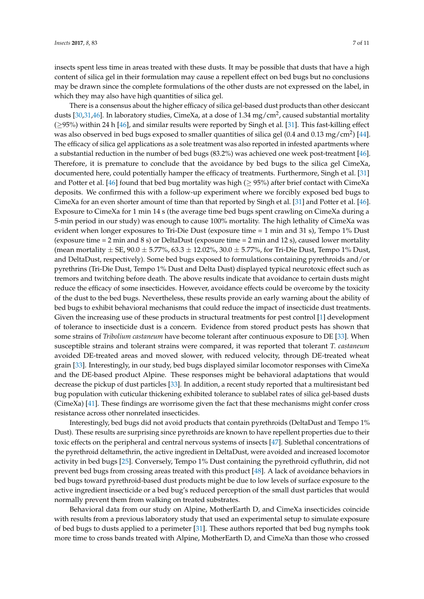insects spent less time in areas treated with these dusts. It may be possible that dusts that have a high content of silica gel in their formulation may cause a repellent effect on bed bugs but no conclusions may be drawn since the complete formulations of the other dusts are not expressed on the label, in which they may also have high quantities of silica gel.

There is a consensus about the higher efficacy of silica gel-based dust products than other desiccant dusts [\[30,](#page-9-19)[31](#page-9-8)[,46\]](#page-10-3). In laboratory studies, CimeXa, at a dose of 1.34 mg/cm<sup>2</sup>, caused substantial mortality  $(≥95%)$  within 24 h [\[46\]](#page-10-3), and similar results were reported by Singh et al. [\[31\]](#page-9-8). This fast-killing effect was also observed in bed bugs exposed to smaller quantities of silica gel (0.4 and 0.13 mg/cm<sup>2</sup>) [\[44\]](#page-10-1). The efficacy of silica gel applications as a sole treatment was also reported in infested apartments where a substantial reduction in the number of bed bugs (83.2%) was achieved one week post-treatment [\[46\]](#page-10-3). Therefore, it is premature to conclude that the avoidance by bed bugs to the silica gel CimeXa, documented here, could potentially hamper the efficacy of treatments. Furthermore, Singh et al. [\[31\]](#page-9-8) and Potter et al. [\[46\]](#page-10-3) found that bed bug mortality was high ( $\geq$  95%) after brief contact with CimeXa deposits. We confirmed this with a follow-up experiment where we forcibly exposed bed bugs to CimeXa for an even shorter amount of time than that reported by Singh et al. [\[31\]](#page-9-8) and Potter et al. [\[46\]](#page-10-3). Exposure to CimeXa for 1 min 14 s (the average time bed bugs spent crawling on CimeXa during a 5-min period in our study) was enough to cause 100% mortality. The high lethality of CimeXa was evident when longer exposures to Tri-Die Dust (exposure time = 1 min and 31 s), Tempo 1% Dust (exposure time = 2 min and 8 s) or DeltaDust (exposure time = 2 min and 12 s), caused lower mortality (mean mortality  $\pm$  SE, 90.0  $\pm$  5.77%, 63.3  $\pm$  12.02%, 30.0  $\pm$  5.77%, for Tri-Die Dust, Tempo 1% Dust, and DeltaDust, respectively). Some bed bugs exposed to formulations containing pyrethroids and/or pyrethrins (Tri-Die Dust, Tempo 1% Dust and Delta Dust) displayed typical neurotoxic effect such as tremors and twitching before death. The above results indicate that avoidance to certain dusts might reduce the efficacy of some insecticides. However, avoidance effects could be overcome by the toxicity of the dust to the bed bugs. Nevertheless, these results provide an early warning about the ability of bed bugs to exhibit behavioral mechanisms that could reduce the impact of insecticide dust treatments. Given the increasing use of these products in structural treatments for pest control [\[1\]](#page-8-0) development of tolerance to insecticide dust is a concern. Evidence from stored product pests has shown that some strains of *Tribolium castaneum* have become tolerant after continuous exposure to DE [\[33\]](#page-9-20). When susceptible strains and tolerant strains were compared, it was reported that tolerant *T. castaneum* avoided DE-treated areas and moved slower, with reduced velocity, through DE-treated wheat grain [\[33\]](#page-9-20). Interestingly, in our study, bed bugs displayed similar locomotor responses with CimeXa and the DE-based product Alpine. These responses might be behavioral adaptations that would decrease the pickup of dust particles [\[33\]](#page-9-20). In addition, a recent study reported that a multiresistant bed bug population with cuticular thickening exhibited tolerance to sublabel rates of silica gel-based dusts (CimeXa) [\[41\]](#page-9-17). These findings are worrisome given the fact that these mechanisms might confer cross resistance across other nonrelated insecticides.

Interestingly, bed bugs did not avoid products that contain pyrethroids (DeltaDust and Tempo 1% Dust). These results are surprising since pyrethroids are known to have repellent properties due to their toxic effects on the peripheral and central nervous systems of insects [\[47\]](#page-10-4). Sublethal concentrations of the pyrethroid deltamethrin, the active ingredient in DeltaDust, were avoided and increased locomotor activity in bed bugs [\[25\]](#page-9-5). Conversely, Tempo 1% Dust containing the pyrethroid cyfluthrin, did not prevent bed bugs from crossing areas treated with this product [\[48\]](#page-10-5). A lack of avoidance behaviors in bed bugs toward pyrethroid-based dust products might be due to low levels of surface exposure to the active ingredient insecticide or a bed bug's reduced perception of the small dust particles that would normally prevent them from walking on treated substrates.

Behavioral data from our study on Alpine, MotherEarth D, and CimeXa insecticides coincide with results from a previous laboratory study that used an experimental setup to simulate exposure of bed bugs to dusts applied to a perimeter [\[31\]](#page-9-8). These authors reported that bed bug nymphs took more time to cross bands treated with Alpine, MotherEarth D, and CimeXa than those who crossed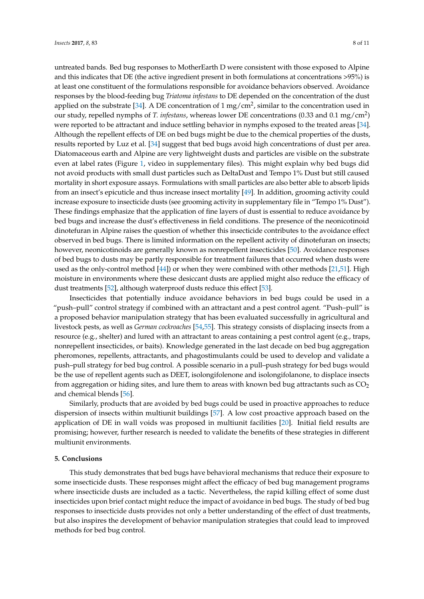untreated bands. Bed bug responses to MotherEarth D were consistent with those exposed to Alpine and this indicates that DE (the active ingredient present in both formulations at concentrations >95%) is at least one constituent of the formulations responsible for avoidance behaviors observed. Avoidance responses by the blood-feeding bug *Triatoma infestans* to DE depended on the concentration of the dust applied on the substrate [\[34\]](#page-9-10). A DE concentration of 1 mg/cm<sup>2</sup>, similar to the concentration used in our study, repelled nymphs of *T. infestans*, whereas lower DE concentrations (0.33 and 0.1 mg/cm<sup>2</sup>) were reported to be attractant and induce settling behavior in nymphs exposed to the treated areas [\[34\]](#page-9-10). Although the repellent effects of DE on bed bugs might be due to the chemical properties of the dusts, results reported by Luz et al. [\[34\]](#page-9-10) suggest that bed bugs avoid high concentrations of dust per area. Diatomaceous earth and Alpine are very lightweight dusts and particles are visible on the substrate even at label rates (Figure [1,](#page-2-0) video in supplementary files). This might explain why bed bugs did not avoid products with small dust particles such as DeltaDust and Tempo 1% Dust but still caused mortality in short exposure assays. Formulations with small particles are also better able to absorb lipids from an insect's epicuticle and thus increase insect mortality [\[49\]](#page-10-6). In addition, grooming activity could increase exposure to insecticide dusts (see grooming activity in supplementary file in "Tempo 1% Dust"). These findings emphasize that the application of fine layers of dust is essential to reduce avoidance by bed bugs and increase the dust's effectiveness in field conditions. The presence of the neonicotinoid dinotefuran in Alpine raises the question of whether this insecticide contributes to the avoidance effect observed in bed bugs. There is limited information on the repellent activity of dinotefuran on insects; however, neonicotinoids are generally known as nonrepellent insecticides [\[50\]](#page-10-7). Avoidance responses of bed bugs to dusts may be partly responsible for treatment failures that occurred when dusts were used as the only-control method [\[44\]](#page-10-1)) or when they were combined with other methods [\[21,](#page-9-1)[51\]](#page-10-8). High moisture in environments where these desiccant dusts are applied might also reduce the efficacy of dust treatments [\[52\]](#page-10-9), although waterproof dusts reduce this effect [\[53\]](#page-10-10).

Insecticides that potentially induce avoidance behaviors in bed bugs could be used in a "push–pull" control strategy if combined with an attractant and a pest control agent. "Push–pull" is a proposed behavior manipulation strategy that has been evaluated successfully in agricultural and livestock pests, as well as *German cockroaches* [\[54,](#page-10-11)[55\]](#page-10-12). This strategy consists of displacing insects from a resource (e.g., shelter) and lured with an attractant to areas containing a pest control agent (e.g., traps, nonrepellent insecticides, or baits). Knowledge generated in the last decade on bed bug aggregation pheromones, repellents, attractants, and phagostimulants could be used to develop and validate a push–pull strategy for bed bug control. A possible scenario in a pull–push strategy for bed bugs would be the use of repellent agents such as DEET, isolongifolenone and isolongifolanone, to displace insects from aggregation or hiding sites, and lure them to areas with known bed bug attractants such as  $CO<sub>2</sub>$ and chemical blends [\[56\]](#page-10-13).

Similarly, products that are avoided by bed bugs could be used in proactive approaches to reduce dispersion of insects within multiunit buildings [\[57\]](#page-10-14). A low cost proactive approach based on the application of DE in wall voids was proposed in multiunit facilities [\[20\]](#page-9-0). Initial field results are promising; however, further research is needed to validate the benefits of these strategies in different multiunit environments.

### **5. Conclusions**

This study demonstrates that bed bugs have behavioral mechanisms that reduce their exposure to some insecticide dusts. These responses might affect the efficacy of bed bug management programs where insecticide dusts are included as a tactic. Nevertheless, the rapid killing effect of some dust insecticides upon brief contact might reduce the impact of avoidance in bed bugs. The study of bed bug responses to insecticide dusts provides not only a better understanding of the effect of dust treatments, but also inspires the development of behavior manipulation strategies that could lead to improved methods for bed bug control.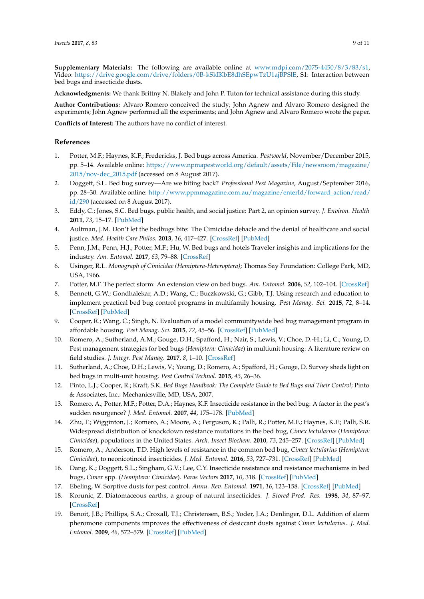**Supplementary Materials:** The following are available online at [www.mdpi.com/2075-4450/8/3/83/s1,](www.mdpi.com/2075-4450/8/3/83/s1) Video: [https://drive.google.com/drive/folders/0B-kSkIKbE8dhSEpwTzU1ajBPSlE,](https://drive.google.com/drive/folders/0B-kSkIKbE8dhSEpwTzU1ajBPSlE) S1: Interaction between bed bugs and insecticide dusts.

**Acknowledgments:** We thank Brittny N. Blakely and John P. Tuton for technical assistance during this study.

**Author Contributions:** Alvaro Romero conceived the study; John Agnew and Alvaro Romero designed the experiments; John Agnew performed all the experiments; and John Agnew and Alvaro Romero wrote the paper.

**Conflicts of Interest:** The authors have no conflict of interest.

## **References**

- <span id="page-8-0"></span>1. Potter, M.F.; Haynes, K.F.; Fredericks, J. Bed bugs across America. *Pestworld*, November/December 2015, pp. 5–14. Available online: [https://www.npmapestworld.org/default/assets/File/newsroom/magazine/](https://www.npmapestworld.org/default/assets/File/newsroom/magazine/2015/nov-dec_2015.pdf) [2015/nov-dec\\_2015.pdf](https://www.npmapestworld.org/default/assets/File/newsroom/magazine/2015/nov-dec_2015.pdf) (accessed on 8 August 2017).
- <span id="page-8-1"></span>2. Doggett, S.L. Bed bug survey—Are we biting back? *Professional Pest Magazine*, August/September 2016, pp. 28–30. Available online: [http://www.ppmmagazine.com.au/magazine/enterId/forward\\_action/read/](http://www.ppmmagazine.com.au/magazine/enterId/forward_action/read/id/290) [id/290](http://www.ppmmagazine.com.au/magazine/enterId/forward_action/read/id/290) (accessed on 8 August 2017).
- <span id="page-8-2"></span>3. Eddy, C.; Jones, S.C. Bed bugs, public health, and social justice: Part 2, an opinion survey. *J. Environ. Health* **2011**, *73*, 15–17. [\[PubMed\]](http://www.ncbi.nlm.nih.gov/pubmed/21488466)
- 4. Aultman, J.M. Don't let the bedbugs bite: The Cimicidae debacle and the denial of healthcare and social justice. *Med. Health Care Philos.* **2013**, *16*, 417–427. [\[CrossRef\]](http://dx.doi.org/10.1007/s11019-012-9404-x) [\[PubMed\]](http://www.ncbi.nlm.nih.gov/pubmed/22422134)
- <span id="page-8-3"></span>5. Penn, J.M.; Penn, H.J.; Potter, M.F.; Hu, W. Bed bugs and hotels Traveler insights and implications for the industry. *Am. Entomol.* **2017**, *63*, 79–88. [\[CrossRef\]](http://dx.doi.org/10.1093/ae/tmx023)
- <span id="page-8-4"></span>6. Usinger, R.L. *Monograph of Cimicidae (Hemiptera-Heteroptera)*; Thomas Say Foundation: College Park, MD, USA, 1966.
- <span id="page-8-5"></span>7. Potter, M.F. The perfect storm: An extension view on bed bugs. *Am. Entomol.* **2006**, *52*, 102–104. [\[CrossRef\]](http://dx.doi.org/10.1093/ae/52.2.102)
- <span id="page-8-6"></span>8. Bennett, G.W.; Gondhalekar, A.D.; Wang, C.; Buczkowski, G.; Gibb, T.J. Using research and education to implement practical bed bug control programs in multifamily housing. *Pest Manag. Sci.* **2015**, *72*, 8–14. [\[CrossRef\]](http://dx.doi.org/10.1002/ps.4084) [\[PubMed\]](http://www.ncbi.nlm.nih.gov/pubmed/26251256)
- 9. Cooper, R.; Wang, C.; Singh, N. Evaluation of a model communitywide bed bug management program in affordable housing. *Pest Manag. Sci.* **2015**, *72*, 45–56. [\[CrossRef\]](http://dx.doi.org/10.1002/ps.3982) [\[PubMed\]](http://www.ncbi.nlm.nih.gov/pubmed/25644070)
- <span id="page-8-7"></span>10. Romero, A.; Sutherland, A.M.; Gouge, D.H.; Spafford, H.; Nair, S.; Lewis, V.; Choe, D.-H.; Li, C.; Young, D. Pest management strategies for bed bugs (*Hemiptera: Cimicidae*) in multiunit housing: A literature review on field studies. *J. Integr. Pest Manag.* **2017**, *8*, 1–10. [\[CrossRef\]](http://dx.doi.org/10.1093/jipm/pmx009)
- <span id="page-8-8"></span>11. Sutherland, A.; Choe, D.H.; Lewis, V.; Young, D.; Romero, A.; Spafford, H.; Gouge, D. Survey sheds light on bed bugs in multi-unit housing. *Pest Control Technol.* **2015**, *43*, 26–36.
- <span id="page-8-9"></span>12. Pinto, L.J.; Cooper, R.; Kraft, S.K. *Bed Bugs Handbook: The Complete Guide to Bed Bugs and Their Control*; Pinto & Associates, Inc.: Mechanicsville, MD, USA, 2007.
- <span id="page-8-10"></span>13. Romero, A.; Potter, M.F.; Potter, D.A.; Haynes, K.F. Insecticide resistance in the bed bug: A factor in the pest's sudden resurgence? *J. Med. Entomol.* **2007**, *44*, 175–178. [\[PubMed\]](http://www.ncbi.nlm.nih.gov/pubmed/17427684)
- 14. Zhu, F.; Wigginton, J.; Romero, A.; Moore, A.; Ferguson, K.; Palli, R.; Potter, M.F.; Haynes, K.F.; Palli, S.R. Widespread distribution of knockdown resistance mutations in the bed bug, *Cimex lectularius* (*Hemiptera: Cimicidae*), populations in the United States. *Arch. Insect Biochem.* **2010**, *73*, 245–257. [\[CrossRef\]](http://dx.doi.org/10.1002/arch.20355) [\[PubMed\]](http://www.ncbi.nlm.nih.gov/pubmed/20301216)
- 15. Romero, A.; Anderson, T.D. High levels of resistance in the common bed bug, *Cimex lectularius* (*Hemiptera: Cimicidae*), to neonicotinoid insecticides. *J. Med. Entomol.* **2016**, *53*, 727–731. [\[CrossRef\]](http://dx.doi.org/10.1093/jme/tjv253) [\[PubMed\]](http://www.ncbi.nlm.nih.gov/pubmed/26823499)
- <span id="page-8-11"></span>16. Dang, K.; Doggett, S.L.; Singham, G.V.; Lee, C.Y. Insecticide resistance and resistance mechanisms in bed bugs, *Cimex* spp. (*Hemiptera: Cimicidae*). *Paras Vectors* **2017**, *10*, 318. [\[CrossRef\]](http://dx.doi.org/10.1186/s13071-017-2232-3) [\[PubMed\]](http://www.ncbi.nlm.nih.gov/pubmed/28662724)
- <span id="page-8-12"></span>17. Ebeling, W. Sorptive dusts for pest control. *Annu. Rev. Entomol.* **1971**, *16*, 123–158. [\[CrossRef\]](http://dx.doi.org/10.1146/annurev.en.16.010171.001011) [\[PubMed\]](http://www.ncbi.nlm.nih.gov/pubmed/4324088)
- <span id="page-8-13"></span>18. Korunic, Z. Diatomaceous earths, a group of natural insecticides. *J. Stored Prod. Res.* **1998**, *34*, 87–97. [\[CrossRef\]](http://dx.doi.org/10.1016/S0022-474X(97)00039-8)
- <span id="page-8-14"></span>19. Benoit, J.B.; Phillips, S.A.; Croxall, T.J.; Christensen, B.S.; Yoder, J.A.; Denlinger, D.L. Addition of alarm pheromone components improves the effectiveness of desiccant dusts against *Cimex lectularius*. *J. Med. Entomol.* **2009**, *46*, 572–579. [\[CrossRef\]](http://dx.doi.org/10.1603/033.046.0323) [\[PubMed\]](http://www.ncbi.nlm.nih.gov/pubmed/19496429)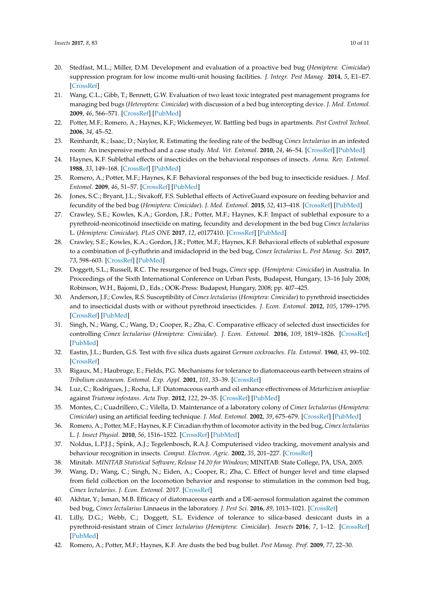- <span id="page-9-0"></span>20. Stedfast, M.L.; Miller, D.M. Development and evaluation of a proactive bed bug (*Hemiptera: Cimicidae*) suppression program for low income multi-unit housing facilities. *J. Integr. Pest Manag.* **2014**, *5*, E1–E7. [\[CrossRef\]](http://dx.doi.org/10.1603/IPM14003)
- <span id="page-9-1"></span>21. Wang, C.L.; Gibb, T.; Bennett, G.W. Evaluation of two least toxic integrated pest management programs for managing bed bugs (*Heteroptera: Cimicidae*) with discussion of a bed bug intercepting device. *J. Med. Entomol.* **2009**, *46*, 566–571. [\[CrossRef\]](http://dx.doi.org/10.1603/033.046.0322) [\[PubMed\]](http://www.ncbi.nlm.nih.gov/pubmed/19496428)
- <span id="page-9-2"></span>22. Potter, M.F.; Romero, A.; Haynes, K.F.; Wickemeyer, W. Battling bed bugs in apartments. *Pest Control Technol.* **2006**, *34*, 45–52.
- <span id="page-9-3"></span>23. Reinhardt, K.; Isaac, D.; Naylor, R. Estimating the feeding rate of the bedbug *Cimex lectularius* in an infested room: An inexpensive method and a case study. *Med. Vet. Entomol.* **2010**, *24*, 46–54. [\[CrossRef\]](http://dx.doi.org/10.1111/j.1365-2915.2009.00847.x) [\[PubMed\]](http://www.ncbi.nlm.nih.gov/pubmed/20377731)
- <span id="page-9-4"></span>24. Haynes, K.F. Sublethal effects of insecticides on the behavioral responses of insects. *Annu. Rev. Entomol.* **1988**, *33*, 149–168. [\[CrossRef\]](http://dx.doi.org/10.1146/annurev.en.33.010188.001053) [\[PubMed\]](http://www.ncbi.nlm.nih.gov/pubmed/3277528)
- <span id="page-9-5"></span>25. Romero, A.; Potter, M.F.; Haynes, K.F. Behavioral responses of the bed bug to insecticide residues. *J. Med. Entomol.* **2009**, *46*, 51–57. [\[CrossRef\]](http://dx.doi.org/10.1603/033.046.0107) [\[PubMed\]](http://www.ncbi.nlm.nih.gov/pubmed/19198517)
- 26. Jones, S.C.; Bryant, J.L.; Sivakoff, F.S. Sublethal effects of ActiveGuard exposure on feeding behavior and fecundity of the bed bug (*Hemiptera: Cimicidae*). *J. Med. Entomol.* **2015**, *52*, 413–418. [\[CrossRef\]](http://dx.doi.org/10.1093/jme/tjv008) [\[PubMed\]](http://www.ncbi.nlm.nih.gov/pubmed/26334815)
- 27. Crawley, S.E.; Kowles, K.A.; Gordon, J.R.; Potter, M.F.; Haynes, K.F. Impact of sublethal exposure to a pyrethroid-neonicotinoid insecticide on mating, fecundity and development in the bed bug *Cimex lectularius* L. (*Hemiptera: Cimicidae*). *PLoS ONE* **2017**, *12*, e0177410. [\[CrossRef\]](http://dx.doi.org/10.1371/journal.pone.0177410) [\[PubMed\]](http://www.ncbi.nlm.nih.gov/pubmed/28489937)
- <span id="page-9-6"></span>28. Crawley, S.E.; Kowles, K.A.; Gordon, J.R.; Potter, M.F.; Haynes, K.F. Behavioral effects of sublethal exposure to a combination of β-cyfluthrin and imidacloprid in the bed bug, *Cimex lectularius* L. *Pest Manag. Sci.* **2017**, *73*, 598–603. [\[CrossRef\]](http://dx.doi.org/10.1002/ps.4342) [\[PubMed\]](http://www.ncbi.nlm.nih.gov/pubmed/27322625)
- <span id="page-9-7"></span>29. Doggett, S.L.; Russell, R.C. The resurgence of bed bugs, *Cimex* spp. (*Hemiptera: Cimicidae*) in Australia. In Proceedings of the Sixth International Conference on Urban Pests, Budapest, Hungary, 13–16 July 2008; Robinson, W.H., Bajomi, D., Eds.; OOK-Press: Budapest, Hungary, 2008; pp. 407–425.
- <span id="page-9-19"></span>30. Anderson, J.F.; Cowles, R.S. Susceptibility of *Cimex lectularius* (*Hemiptera: Cimicidae*) to pyrethroid insecticides and to insecticidal dusts with or without pyrethroid insecticides. *J. Econ. Entomol.* **2012**, *105*, 1789–1795. [\[CrossRef\]](http://dx.doi.org/10.1603/EC12089) [\[PubMed\]](http://www.ncbi.nlm.nih.gov/pubmed/23156178)
- <span id="page-9-8"></span>31. Singh, N.; Wang, C.; Wang, D.; Cooper, R.; Zha, C. Comparative efficacy of selected dust insecticides for controlling *Cimex lectularius* (*Hemiptera: Cimicidae*). *J. Econ. Entomol.* **2016**, *109*, 1819–1826. [\[CrossRef\]](http://dx.doi.org/10.1093/jee/tow129) [\[PubMed\]](http://www.ncbi.nlm.nih.gov/pubmed/27377377)
- <span id="page-9-9"></span>32. Eastin, J.L.; Burden, G.S. Test with five silica dusts against *German cockroaches*. *Fla. Entomol.* **1960**, *43*, 99–102. [\[CrossRef\]](http://dx.doi.org/10.2307/3492672)
- <span id="page-9-20"></span>33. Rigaux, M.; Haubruge, E.; Fields, P.G. Mechanisms for tolerance to diatomaceous earth between strains of *Tribolium castaneum*. *Entomol. Exp. Appl.* **2001**, *101*, 33–39. [\[CrossRef\]](http://dx.doi.org/10.1046/j.1570-7458.2001.00888.x)
- <span id="page-9-10"></span>34. Luz, C.; Rodrigues, J.; Rocha, L.F. Diatomaceous earth and oil enhance effectiveness of *Metarhizium anisopliae* against *Triatoma infestans*. *Acta Trop.* **2012**, *122*, 29–35. [\[CrossRef\]](http://dx.doi.org/10.1016/j.actatropica.2011.11.014) [\[PubMed\]](http://www.ncbi.nlm.nih.gov/pubmed/22155570)
- <span id="page-9-11"></span>35. Montes, C.; Cuadrillero, C.; Vilella, D. Maintenance of a laboratory colony of *Cimex lectularius* (*Hemiptera: Cimicidae*) using an artificial feeding technique. *J. Med. Entomol.* **2002**, *39*, 675–679. [\[CrossRef\]](http://dx.doi.org/10.1603/0022-2585-39.4.675) [\[PubMed\]](http://www.ncbi.nlm.nih.gov/pubmed/12144303)
- <span id="page-9-12"></span>36. Romero, A.; Potter, M.F.; Haynes, K.F. Circadian rhythm of locomotor activity in the bed bug, *Cimex lectularius* L. *J. Insect Physiol.* **2010**, *56*, 1516–1522. [\[CrossRef\]](http://dx.doi.org/10.1016/j.jinsphys.2010.04.025) [\[PubMed\]](http://www.ncbi.nlm.nih.gov/pubmed/20452356)
- <span id="page-9-13"></span>37. Noldus, L.P.J.J.; Spink, A.J.; Tegelenbosch, R.A.J. Computerised video tracking, movement analysis and behaviour recognition in insects. *Comput. Electron. Agric.* **2002**, *35*, 201–227. [\[CrossRef\]](http://dx.doi.org/10.1016/S0168-1699(02)00019-4)
- <span id="page-9-14"></span>38. Minitab. *MINITAB Statistical Software, Release 14.20 for Windows*; MINITAB: State College, PA, USA, 2005.
- <span id="page-9-15"></span>39. Wang, D.; Wang, C.; Singh, N.; Eiden, A.; Cooper, R.; Zha, C. Effect of hunger level and time elapsed from field collection on the locomotion behavior and response to stimulation in the common bed bug, *Cimex lectularius*. *J. Econ. Entomol.* 2017. [\[CrossRef\]](http://dx.doi.org/10.1093/jee/tox148)
- <span id="page-9-16"></span>40. Akhtar, Y.; Isman, M.B. Efficacy of diatomaceous earth and a DE-aerosol formulation against the common bed bug, *Cimex lectularius* Linnaeus in the laboratory. *J. Pest Sci.* **2016**, *89*, 1013–1021. [\[CrossRef\]](http://dx.doi.org/10.1007/s10340-015-0722-7)
- <span id="page-9-17"></span>41. Lilly, D.G.; Webb, C.; Doggett, S.L. Evidence of tolerance to silica-based desiccant dusts in a pyrethroid-resistant strain of *Cimex lectularius* (*Hemiptera: Cimicidae*). *Insects* **2016**, *7*, 1–12. [\[CrossRef\]](http://dx.doi.org/10.3390/insects7040074) [\[PubMed\]](http://www.ncbi.nlm.nih.gov/pubmed/27941664)
- <span id="page-9-18"></span>42. Romero, A.; Potter, M.F.; Haynes, K.F. Are dusts the bed bug bullet. *Pest Manag. Prof.* **2009**, *77*, 22–30.